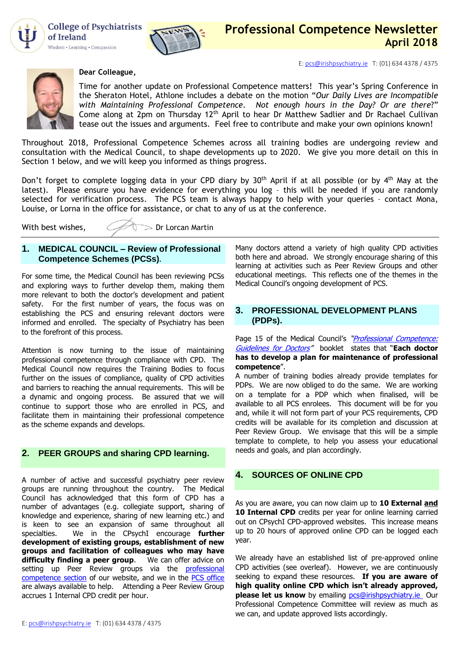

**College of Psychiatrists** of Ireland Wisdom • Learning • Compassion



E[: pcs@irishpsychiatry.ie](mailto:pcs@irishpsychiatry.ie) T: (01) 634 4378 / 4375



#### **Dear Colleague,**

Time for another update on Professional Competence matters! This year's Spring Conference in the Sheraton Hotel, Athlone includes a debate on the motion "*Our Daily Lives are Incompatible with Maintaining Professional Competence. Not enough hours in the Day? Or are there*?" Come along at  $2p$ m on Thursday 12<sup>th</sup> April to hear Dr Matthew Sadlier and Dr Rachael Cullivan tease out the issues and arguments. Feel free to contribute and make your own opinions known!

Throughout 2018, Professional Competence Schemes across all training bodies are undergoing review and consultation with the Medical Council, to shape developments up to 2020. We give you more detail on this in Section 1 below, and we will keep you informed as things progress.

Don't forget to complete logging data in your CPD diary by 30<sup>th</sup> April if at all possible (or by 4<sup>th</sup> May at the latest). Please ensure you have evidence for everything you log – this will be needed if you are randomly selected for verification process. The PCS team is always happy to help with your queries – contact Mona, Louise, or Lorna in the office for assistance, or chat to any of us at the conference.

With best wishes,  $\mathcal{Q}(\mathcal{Q})$  Dr Lorcan Martin

# **1. MEDICAL COUNCIL – Review of Professional Competence Schemes (PCSs).**

For some time, the Medical Council has been reviewing PCSs and exploring ways to further develop them, making them more relevant to both the doctor's development and patient safety. For the first number of years, the focus was on establishing the PCS and ensuring relevant doctors were informed and enrolled. The specialty of Psychiatry has been to the forefront of this process.

Attention is now turning to the issue of maintaining professional competence through compliance with CPD. The Medical Council now requires the Training Bodies to focus further on the issues of compliance, quality of CPD activities and barriers to reaching the annual requirements. This will be a dynamic and ongoing process. Be assured that we will continue to support those who are enrolled in PCS, and facilitate them in maintaining their professional competence as the scheme expands and develops.

# **2. [PEER](http://collegeofpsychiatryireland.newsweaver.co.uk/newsletter/1bcdch2t8xl13d8mgyqtf4?a=1&p=33459695&t=18724804) GROUPS and sharing CPD learning.**

A number of active and successful psychiatry peer review groups are running throughout the country. The Medical Council has acknowledged that this form of CPD has a number of advantages (e.g. collegiate support, sharing of knowledge and experience, sharing of new learning etc.) and is keen to see an expansion of same throughout all specialties. We in the CPsychI encourage **further development of existing groups, establishment of new groups and facilitation of colleagues who may have**  difficulty finding a peer group. setting up Peer Review groups via the professional [competence section](https://www.irishpsychiatry.ie/professional-competence/peer-review-groups/) of our website, and we in the [PCS office](mailto:louise@irishpsychiatry.ie?subject=Peer%20Review%20Groups) are always available to help. Attending a Peer Review Group accrues 1 Internal CPD credit per hour.

Many doctors attend a variety of high quality CPD activities both here and abroad. We strongly encourage sharing of this learning at activities such as Peer Review Groups and other educational meetings. This reflects one of the themes in the Medical Council's ongoing development of PCS.

# **3. PROFESSIONAL DEVELOPMENT PLANS (PDPs).**

Page 15 of the Medical Council's "*[Professional Competence:](https://www.medicalcouncil.ie/Existing-Registrants-/Professional-Competence/Professional-Competence-Guidelines.pdf)* [Guidelines for Doctors](https://www.medicalcouncil.ie/Existing-Registrants-/Professional-Competence/Professional-Competence-Guidelines.pdf)" booklet states that "**Each doctor has to develop a plan for maintenance of professional competence**".

A number of training bodies already provide templates for PDPs. We are now obliged to do the same. We are working on a template for a PDP which when finalised, will be available to all PCS enrolees. This document will be for you and, while it will not form part of your PCS requirements, CPD credits will be available for its completion and discussion at Peer Review Group. We envisage that this will be a simple template to complete, to help you assess your educational needs and goals, and plan accordingly.

## **4. SOURCES OF ONLINE CPD**

As you are aware, you can now claim up to **10 External and 10 Internal CPD** credits per year for online learning carried out on CPsychI CPD-approved websites. This increase means up to 20 hours of approved online CPD can be logged each year.

We already have an established list of pre-approved online CPD activities (see overleaf). However, we are continuously seeking to expand these resources. **If you are aware of high quality online CPD which isn't already approved, please let us know** by emailing **pcs@irishpsychiatry.ie** Our Professional Competence Committee will review as much as we can, and update approved lists accordingly.